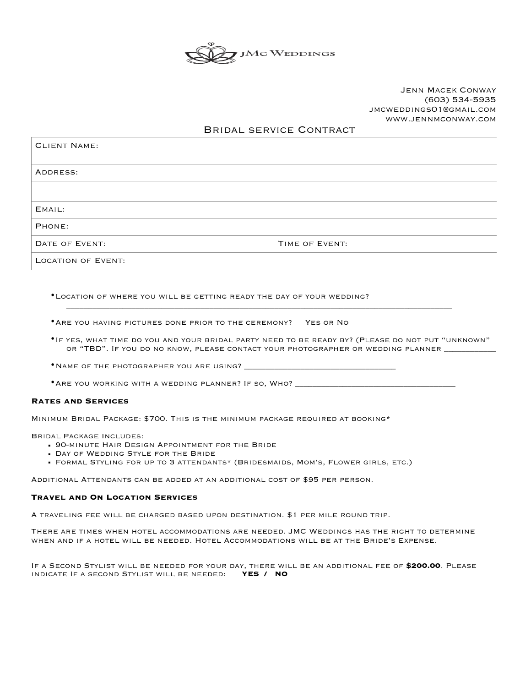

# Jenn Macek Conway (603) 534-5935 jmcweddings01@gmail.com www.jennmconway.com

# Bridal service Contract

| <b>CLIENT NAME:</b>       |                |
|---------------------------|----------------|
| ADDRESS:                  |                |
|                           |                |
| EMAIL:                    |                |
| PHONE:                    |                |
| DATE OF EVENT:            | TIME OF EVENT: |
| <b>LOCATION OF EVENT:</b> |                |

•Location of WHERE YOU WILL BE GETTING READY THE DAY OF YOUR WEDDING?

•Are you having pictures done prior to the ceremony? Yes or No

•If yes, what time do you and your bridal party need to be ready by? (Please do not put "unknown" or "TBD". IF you do no know, PLEASE CONTACT YOUR PHOTOGRAPHER OR WEDDING PLANNER \_\_

•NAME OF THE PHOTOGRAPHER YOU ARE USING? \_\_

\* ARE YOU WORKING WITH A WEDDING PLANNER? IF SO, WHO? \_\_

#### **Rates and Services**

Minimum Bridal Package: \$700. This is the minimum package required at booking\*

Bridal Package Includes:

- **. 90-MINUTE HAIR DESIGN APPOINTMENT FOR THE BRIDE**
- **. DAY OF WEDDING STYLE FOR THE BRIDE**
- Formal Styling for up to 3 attendants\* (Bridesmaids, Mom's, Flower girls, etc.)

Additional Attendants can be added at an additional cost of \$95 per person.

#### **Travel and On Location Services**

A traveling fee will be charged based upon destination. \$1 per mile round trip.

There are times when hotel accommodations are needed. JMC Weddings has the right to determine when and if a hotel will be needed. Hotel Accommodations will be at the Bride's Expense.

If a Second Stylist will be needed for your day, there will be an additional fee of **\$200.00**. Please indicate If a second Stylist will be needed: **YES / NO**